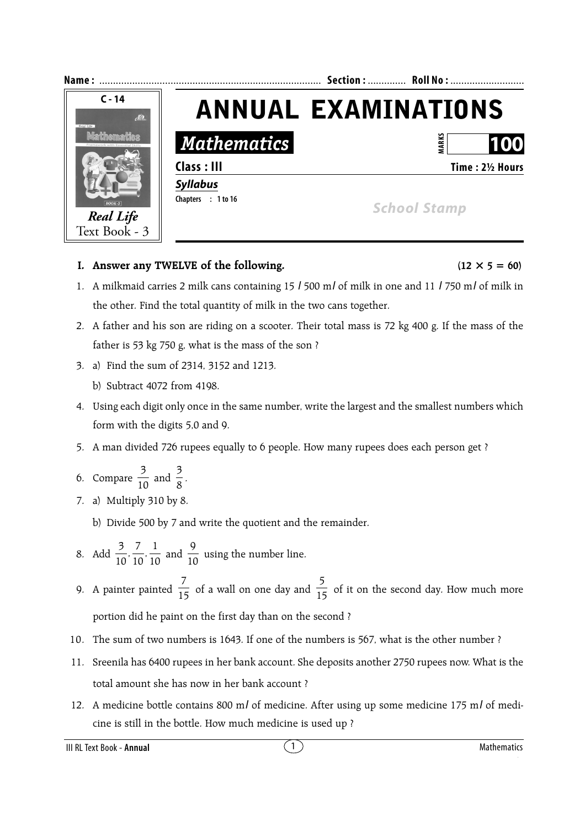

## **I.** Answer any TWELVE of the following.  $(12 \times 5 = 60)$

- 1. A milkmaid carries 2 milk cans containing 15 *l* 500 m*l* of milk in one and 11 *l* 750 m*l* of milk in the other. Find the total quantity of milk in the two cans together.
- 2. A father and his son are riding on a scooter. Their total mass is 72 kg 400 g. If the mass of the father is 53 kg 750 g, what is the mass of the son ?
- 3. a) Find the sum of 2314, 3152 and 1213.
	- b) Subtract 4072 from 4198.
- 4. Using each digit only once in the same number, write the largest and the smallest numbers which form with the digits 5,0 and 9.
- 5. A man divided 726 rupees equally to 6 people. How many rupees does each person get ?
- 6. Compare  $\frac{3}{10}$  and  $\frac{3}{8}$ .
- 7. a) Multiply 310 by 8.
	- b) Divide 500 by 7 and write the quotient and the remainder.
- 8. Add  $\frac{3}{10}$ ,  $\frac{7}{10}$ ,  $\frac{1}{10}$  and  $\frac{9}{10}$  using the number line.
- 9. A painter painted  $\frac{7}{15}$  of a wall on one day and  $\frac{5}{15}$  of it on the second day. How much more portion did he paint on the first day than on the second ?
- 10. The sum of two numbers is 1643. If one of the numbers is 567, what is the other number ?
- 11. Sreenila has 6400 rupees in her bank account. She deposits another 2750 rupees now. What is the total amount she has now in her bank account ?
- 12. A medicine bottle contains 800 m*l* of medicine. After using up some medicine 175 m*l* of medicine is still in the bottle. How much medicine is used up ?

III RL Text Book - **Annual** 1 Mathematics **1** Mathematics **1** Mathematics **1**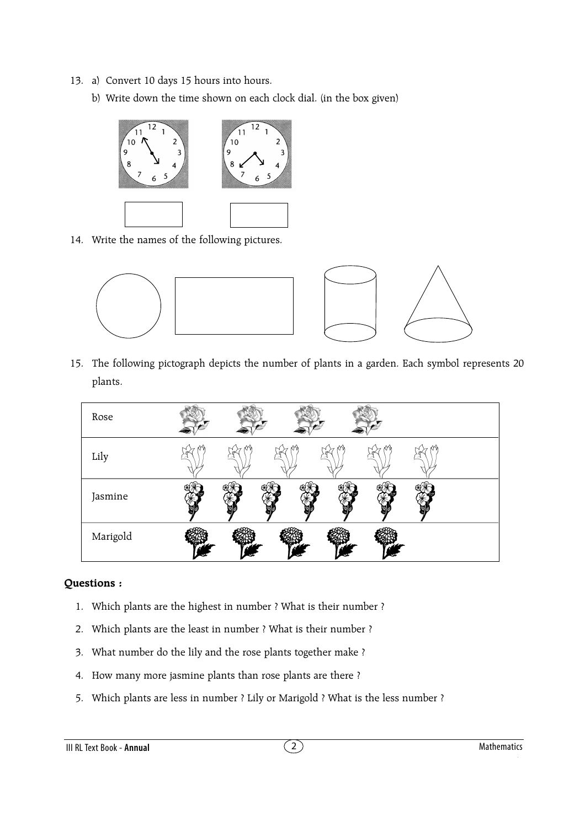- 13. a) Convert 10 days 15 hours into hours.
	- b) Write down the time shown on each clock dial. (in the box given)



14. Write the names of the following pictures.



15. The following pictograph depicts the number of plants in a garden. Each symbol represents 20 plants.

| Rose     |   |   |   |   |   |  |
|----------|---|---|---|---|---|--|
| Lily     | ↭ | ↭ | ↭ | ↭ | ↭ |  |
| Jasmine  |   |   |   |   |   |  |
| Marigold |   |   |   |   |   |  |

## **Questions :**

- 1. Which plants are the highest in number ? What is their number ?
- 2. Which plants are the least in number ? What is their number ?
- 3. What number do the lily and the rose plants together make ?
- 4. How many more jasmine plants than rose plants are there ?
- 5. Which plants are less in number ? Lily or Marigold ? What is the less number ?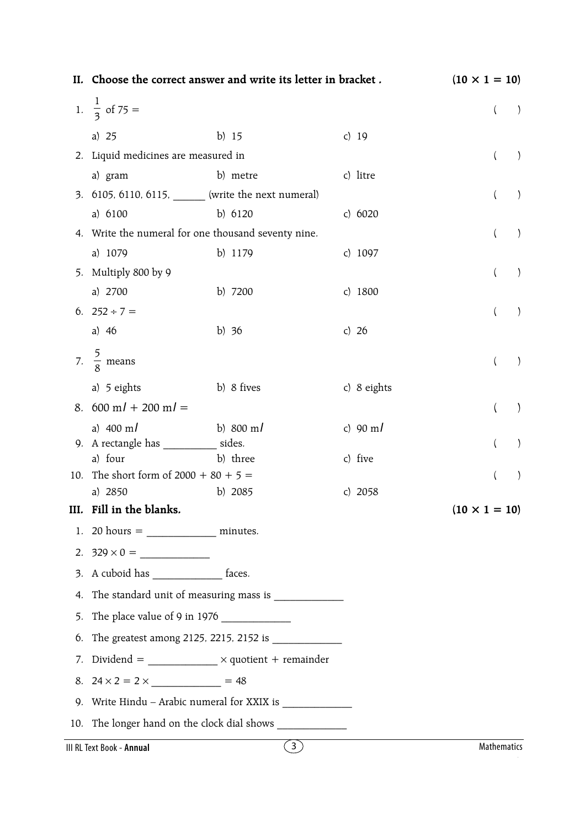|      |                                                | II. Choose the correct answer and write its letter in bracket.                       |                   | $(10 \times 1 = 10)$  |
|------|------------------------------------------------|--------------------------------------------------------------------------------------|-------------------|-----------------------|
|      | 1. $\frac{1}{3}$ of 75 =                       |                                                                                      |                   | $\left($              |
|      | a) $25$                                        | b) $15$                                                                              | c) $19$           |                       |
|      | 2. Liquid medicines are measured in            |                                                                                      |                   | $\lambda$<br>$\left($ |
|      | a) gram                                        | b) metre                                                                             | c) litre          |                       |
|      |                                                | 3. 6105, 6110, 6115, _______ (write the next numeral)                                |                   |                       |
|      | a) 6100                                        | b) 6120                                                                              | c) $6020$         |                       |
|      |                                                | 4. Write the numeral for one thousand seventy nine.                                  |                   | $\left($              |
|      | a) 1079                                        | b) 1179                                                                              | c) $1097$         |                       |
| 5.   | Multiply 800 by 9                              |                                                                                      |                   | $\lambda$<br>$\left($ |
|      | a) 2700                                        | b) 7200                                                                              | c) $1800$         |                       |
|      | 6. $252 \div 7 =$                              |                                                                                      |                   | $\left($              |
|      | a) $46$                                        | b) $36$                                                                              | c) $26$           |                       |
|      | 7. $\frac{5}{8}$ means                         |                                                                                      |                   |                       |
|      | a) 5 eights                                    | b) 8 fives                                                                           | c) 8 eights       |                       |
|      | 8. 600 m/ + 200 m/ =                           |                                                                                      |                   |                       |
|      | a) $400 \text{ m}$                             | b) 800 m/                                                                            | c) $90 \text{ m}$ |                       |
| 9.   | A rectangle has _____________ sides.           |                                                                                      |                   |                       |
| 10.  | a) four<br>The short form of $2000 + 80 + 5 =$ | b) three                                                                             | c) five           |                       |
|      | a) 2850                                        | b) 2085                                                                              | c) $2058$         |                       |
| III. | Fill in the blanks.                            |                                                                                      |                   | $(10 \times 1 = 10)$  |
| 1.   | $20 \text{ hours} =$ minutes.                  |                                                                                      |                   |                       |
|      |                                                |                                                                                      |                   |                       |
| 3.   | A cuboid has __________________ faces.         |                                                                                      |                   |                       |
| 4.   |                                                | The standard unit of measuring mass is ______________                                |                   |                       |
| 5.   |                                                |                                                                                      |                   |                       |
| 6.   |                                                |                                                                                      |                   |                       |
| 7.   |                                                | Dividend = $\frac{1}{\sqrt{1-\frac{1}{n}}}\times \text{quotient} + \text{remainder}$ |                   |                       |
| 8.   |                                                |                                                                                      |                   |                       |
| 9.   |                                                |                                                                                      |                   |                       |
| 10.  |                                                | The longer hand on the clock dial shows                                              |                   |                       |
|      | III RL Text Book - Annual                      | $\circled{3}$                                                                        |                   | Mathematics           |